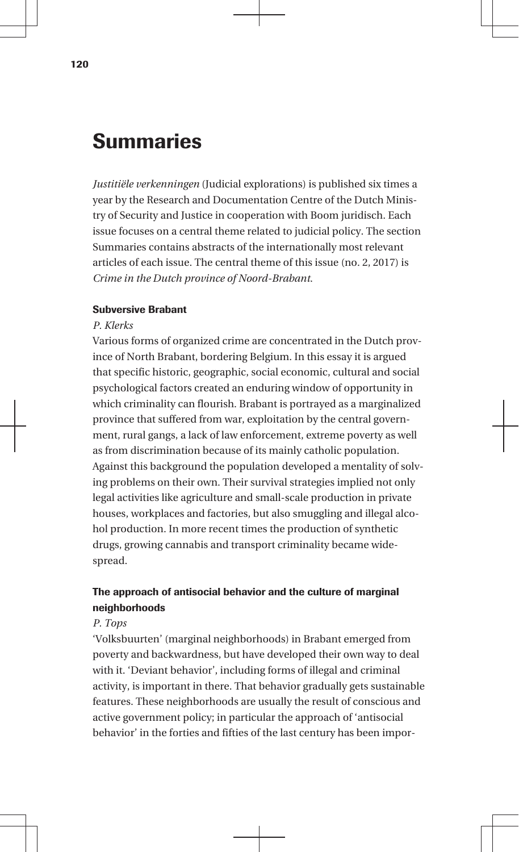# Summaries

*Justitiële verkenningen* (Judicial explorations) is published six times a year by the Research and Documentation Centre of the Dutch Ministry of Security and Justice in cooperation with Boom juridisch. Each issue focuses on a central theme related to judicial policy. The section Summaries contains abstracts of the internationally most relevant articles of each issue. The central theme of this issue (no. 2, 2017) is *Crime in the Dutch province of Noord-Brabant*.

## Subversive Brabant

## *P. Klerks*

Various forms of organized crime are concentrated in the Dutch province of North Brabant, bordering Belgium. In this essay it is argued that specific historic, geographic, social economic, cultural and social psychological factors created an enduring window of opportunity in which criminality can flourish. Brabant is portrayed as a marginalized province that suffered from war, exploitation by the central government, rural gangs, a lack of law enforcement, extreme poverty as well as from discrimination because of its mainly catholic population. Against this background the population developed a mentality of solving problems on their own. Their survival strategies implied not only legal activities like agriculture and small-scale production in private houses, workplaces and factories, but also smuggling and illegal alcohol production. In more recent times the production of synthetic drugs, growing cannabis and transport criminality became widespread.

## The approach of antisocial behavior and the culture of marginal neighborhoods

## *P. Tops*

'Volksbuurten' (marginal neighborhoods) in Brabant emerged from poverty and backwardness, but have developed their own way to deal with it. 'Deviant behavior', including forms of illegal and criminal activity, is important in there. That behavior gradually gets sustainable features. These neighborhoods are usually the result of conscious and active government policy; in particular the approach of 'antisocial behavior' in the forties and fifties of the last century has been impor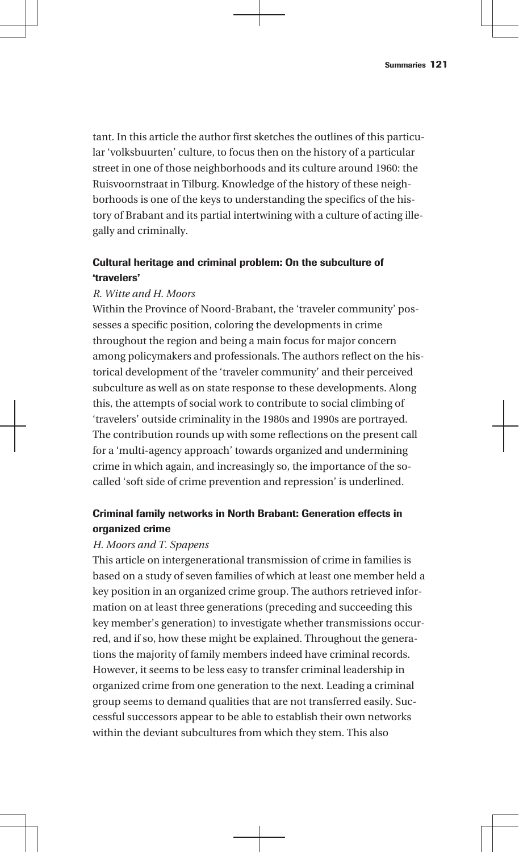tant. In this article the author first sketches the outlines of this particular 'volksbuurten' culture, to focus then on the history of a particular street in one of those neighborhoods and its culture around 1960: the Ruisvoornstraat in Tilburg. Knowledge of the history of these neighborhoods is one of the keys to understanding the specifics of the history of Brabant and its partial intertwining with a culture of acting illegally and criminally.

## Cultural heritage and criminal problem: On the subculture of 'travelers'

## *R. Witte and H. Moors*

Within the Province of Noord-Brabant, the 'traveler community' possesses a specific position, coloring the developments in crime throughout the region and being a main focus for major concern among policymakers and professionals. The authors reflect on the historical development of the 'traveler community' and their perceived subculture as well as on state response to these developments. Along this, the attempts of social work to contribute to social climbing of 'travelers' outside criminality in the 1980s and 1990s are portrayed. The contribution rounds up with some reflections on the present call for a 'multi-agency approach' towards organized and undermining crime in which again, and increasingly so, the importance of the socalled 'soft side of crime prevention and repression' is underlined.

## Criminal family networks in North Brabant: Generation effects in organized crime

## *H. Moors and T. Spapens*

This article on intergenerational transmission of crime in families is based on a study of seven families of which at least one member held a key position in an organized crime group. The authors retrieved information on at least three generations (preceding and succeeding this key member's generation) to investigate whether transmissions occurred, and if so, how these might be explained. Throughout the generations the majority of family members indeed have criminal records. However, it seems to be less easy to transfer criminal leadership in organized crime from one generation to the next. Leading a criminal group seems to demand qualities that are not transferred easily. Successful successors appear to be able to establish their own networks within the deviant subcultures from which they stem. This also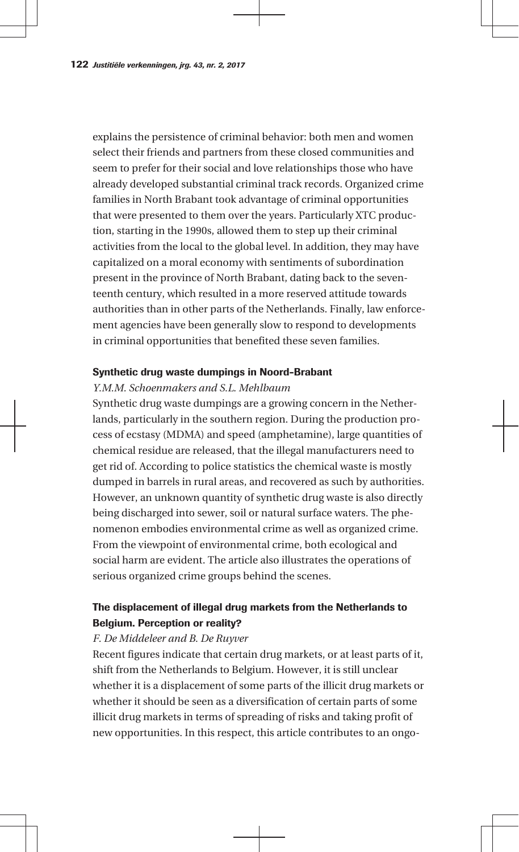explains the persistence of criminal behavior: both men and women select their friends and partners from these closed communities and seem to prefer for their social and love relationships those who have already developed substantial criminal track records. Organized crime families in North Brabant took advantage of criminal opportunities that were presented to them over the years. Particularly XTC production, starting in the 1990s, allowed them to step up their criminal activities from the local to the global level. In addition, they may have capitalized on a moral economy with sentiments of subordination present in the province of North Brabant, dating back to the seventeenth century, which resulted in a more reserved attitude towards authorities than in other parts of the Netherlands. Finally, law enforcement agencies have been generally slow to respond to developments in criminal opportunities that benefited these seven families.

## Synthetic drug waste dumpings in Noord-Brabant

#### *Y.M.M. Schoenmakers and S.L. Mehlbaum*

Synthetic drug waste dumpings are a growing concern in the Netherlands, particularly in the southern region. During the production process of ecstasy (MDMA) and speed (amphetamine), large quantities of chemical residue are released, that the illegal manufacturers need to get rid of. According to police statistics the chemical waste is mostly dumped in barrels in rural areas, and recovered as such by authorities. However, an unknown quantity of synthetic drug waste is also directly being discharged into sewer, soil or natural surface waters. The phenomenon embodies environmental crime as well as organized crime. From the viewpoint of environmental crime, both ecological and social harm are evident. The article also illustrates the operations of serious organized crime groups behind the scenes.

## The displacement of illegal drug markets from the Netherlands to Belgium. Perception or reality?

#### *F. De Middeleer and B. De Ruyver*

Recent figures indicate that certain drug markets, or at least parts of it, shift from the Netherlands to Belgium. However, it is still unclear whether it is a displacement of some parts of the illicit drug markets or whether it should be seen as a diversification of certain parts of some illicit drug markets in terms of spreading of risks and taking profit of new opportunities. In this respect, this article contributes to an ongo